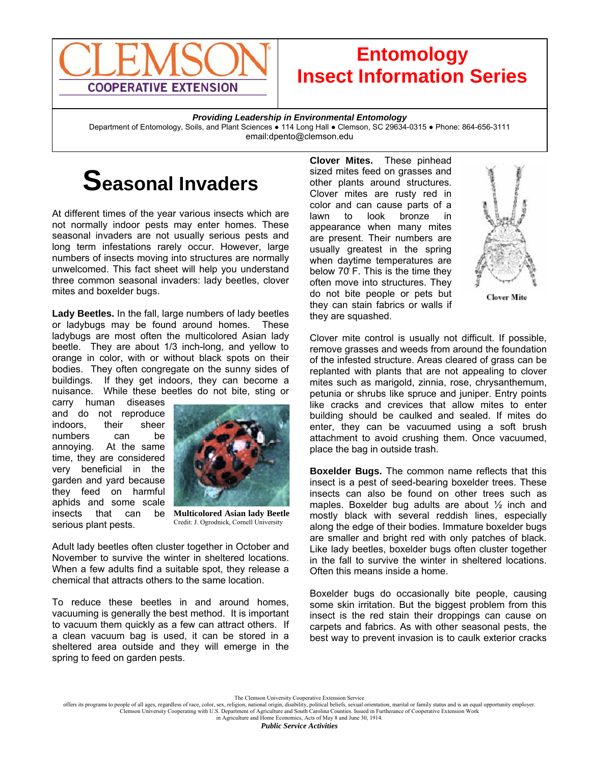

## **Entomology Insect Information Series**

*Providing Leadership in Environmental Entomology* 

Department of Entomology, Soils, and Plant Sciences . 114 Long Hall . Clemson, SC 29634-0315 . Phone: 864-656-3111 email:dpento@clemson.edu

## **Seasonal Invaders**

At different times of the year various insects which are not normally indoor pests may enter homes. These seasonal invaders are not usually serious pests and long term infestations rarely occur. However, large numbers of insects moving into structures are normally unwelcomed. This fact sheet will help you understand three common seasonal invaders: lady beetles, clover mites and boxelder bugs.

**Lady Beetles.** In the fall, large numbers of lady beetles or ladybugs may be found around homes. These ladybugs are most often the multicolored Asian lady beetle. They are about 1/3 inch-long, and yellow to orange in color, with or without black spots on their bodies. They often congregate on the sunny sides of buildings. If they get indoors, they can become a nuisance. While these beetles do not bite, sting or

carry human diseases and do not reproduce indoors, their sheer numbers can be annoying. At the same time, they are considered very beneficial in the garden and yard because they feed on harmful aphids and some scale insects that can be serious plant pests.



**Multicolored Asian lady Beetle** Credit: J. Ogrodnick, Cornell University

Adult lady beetles often cluster together in October and November to survive the winter in sheltered locations. When a few adults find a suitable spot, they release a chemical that attracts others to the same location.

To reduce these beetles in and around homes, vacuuming is generally the best method. It is important to vacuum them quickly as a few can attract others. If a clean vacuum bag is used, it can be stored in a sheltered area outside and they will emerge in the spring to feed on garden pests.

**Clover Mites.** These pinhead sized mites feed on grasses and other plants around structures. Clover mites are rusty red in color and can cause parts of a lawn to look bronze in appearance when many mites are present. Their numbers are usually greatest in the spring when daytime temperatures are below 70̊ F. This is the time they often move into structures. They do not bite people or pets but they can stain fabrics or walls if they are squashed.



**Clover Mite** 

Clover mite control is usually not difficult. If possible, remove grasses and weeds from around the foundation of the infested structure. Areas cleared of grass can be replanted with plants that are not appealing to clover mites such as marigold, zinnia, rose, chrysanthemum, petunia or shrubs like spruce and juniper. Entry points like cracks and crevices that allow mites to enter building should be caulked and sealed. If mites do enter, they can be vacuumed using a soft brush attachment to avoid crushing them. Once vacuumed, place the bag in outside trash.

**Boxelder Bugs.** The common name reflects that this insect is a pest of seed-bearing boxelder trees. These insects can also be found on other trees such as maples. Boxelder bug adults are about ½ inch and mostly black with several reddish lines, especially along the edge of their bodies. Immature boxelder bugs are smaller and bright red with only patches of black. Like lady beetles, boxelder bugs often cluster together in the fall to survive the winter in sheltered locations. Often this means inside a home.

Boxelder bugs do occasionally bite people, causing some skin irritation. But the biggest problem from this insect is the red stain their droppings can cause on carpets and fabrics. As with other seasonal pests, the best way to prevent invasion is to caulk exterior cracks

in Agriculture and Home Economics, Acts of May 8 and June 30, 1914.

The Clemson University Cooperative Extension Service<br>offers its programs to people of all ages, regardless of race, color, sex, religion, national origin, disability, political beliefs, sexual orientation, marital or famil Clemson University Cooperating with U.S. Department of Agriculture and South Carolina Counties. Issued in Furtherance of Cooperative Extension Work